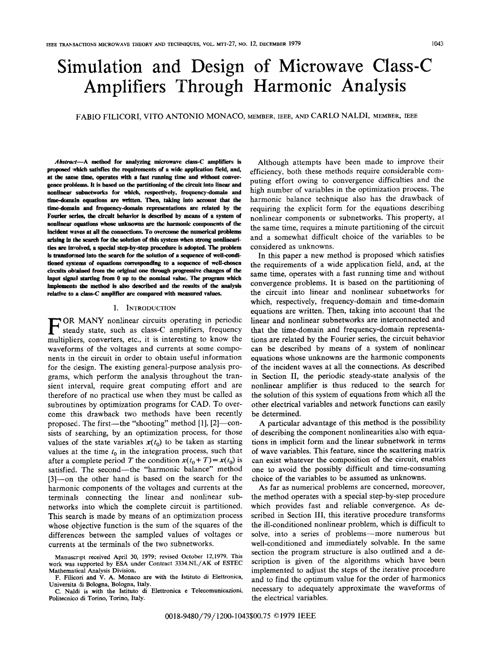# Simulation and Design of Microwave Class-C Amplifiers Through Harmonic Analysis

FABIO FILICORI, VITO ANTONIO MONACO, MEMBER, IEEE, AND CARLO NALDI, MEMBER, IEEE

 $Abstract-A$  method for analyzing microwave class-C amplifiers is proposed which satisfies the requirements of a wide application field, and, at the same time, operates with a fast running time and without convergence problems. It is based on the partitioning of the circuit into linear and nonlinear subnetworks for which, respectively, frequency-domain and time-domain equations are written. Then, taking into account that the time-domain and frequency-domain representations are related by the Fourier series, the circuit behavior is described by means of a system of nonlinear equations whose unknowns are the harmonic components of the incident waves at all the connections. To overcome the numerical problems arising in the search for the solution of this system when strong nonlinearities are involved, a special step-by-step procedure is adopted. The problem is transformed into the search for the solution of a sequence of well-conditioned systems of equations corresponding to a sequence of well-chosen circuits obtained from the original one through progressive changes of the input signal starting from 0 up to the nominal value. The program which implements the method is also described and the results of the analysis relative to a class-C amplifier are compared with measured values.

#### I. INTRODUCTION

 $\blacksquare$  steady state, such as class-C amplifiers, frequency OR MANY nonlinear circuits operating in periodic multipliers, converters, etc., it is interesting to know the waveforms of the voltages and currents at some components in the circuit in order to obtain useful information for the clesign. The existing general-purpose analysis programs, which perform the analysis throughout the transient interval, require great computing effort and are therefore of no practical use when they must be called as subroutines by optimization programs for CAD. To overcome this drawback two methods have been recently proposed. The first—the "shooting" method [1], [2]—consists of searching, by an optimization process, for those values of the state variables  $x(t_0)$  to be taken as starting values at the time  $t_0$  in the integration process, such that after a complete period T the condition  $x(t_0 + T) = x(t_0)$  is satisfied. The second—the "harmonic balance" method [3]—on the other hand is based on the search for the harmonic components of the voltages and currents at the terminals connecting the linear and nonlinear subnetworks into which the complete circuit is partitioned. This search is made by means of an optimization process whose objective function is the sum of the squares of the differences between the sampled values of voltages or currents at the terminals of the two subnetworks.

Although attempts have been made to improve their efficiency, both these methods require considerable computing effort owing to convergence difficulties and the high number of variables in the optimization process. The harmonic balance technique also has the drawback of requiring the explicit form for the equations describing nonlinear components or subnetworks. This property, at the same time, requires a minute partitioning of the circuit and a somewhat difficult choice of the variables to be considered as unknowns.

In this paper a new method is proposed which satisfies the requirements of a wide application field, and, at the same time, operates with a fast running time and without convergence problems. It is based on the partitioning of the circuit into linear and nonlinear subnetworks for which, respectively, frequency-domain and time-domain equations are written. Then, taking into account that the linear and nonlinear subnetworks are interconnected and that the time-domain and frequency-domain representations are related by the Fourier series, the circuit behawior can be described by means of a system of nonlinear equations whose unknowns are the harmonic components of the incident waves at all the connections. As described in Section II, the periodic steady--state analysis of the nonlinear amplifier is thus reduced to the search for the solution of this system of equations from which all the other electrical variables and network functions can easily be determined.

A particular advantage of this method is the possibility of describing the component nonlinearities also with equations in implicit form and the linear subnetwork in terms of wave variables. This feature, since the scattering matrix can exist whatever the composition of the circuit, enables one to avoid the possibly difficult and time-consuming choice of the variables to be assumed as unknowns.

As far as numerical problems are concerned, moreover, the method operates with a special step-by-step procedure which provides fast and reliable convergence. As described in Section III, this iterative procedure transforms the ill-conditioned nonlinear problem, which is difficult to solve, into a series of problems—more numerous but well-conditioned and immediately solvable. In the same section the program structure is also outlined and a description is given of the algorithms which have been implemented to adjust the steps of the iterative procedure and to find the optimum value for the order of harmonics necessary to adequately approximate the waveforms of the electrical variables.

Manuscript received April 30, 1979; revised October 12,1979. This work was supported by ESA under Contract 3334.NL/AK of ESTEC Mathernatieal Analysis Division.

F. Filicori and V. A. Monaco are with the Istituto di Elettronica, Universita di Bologna, Bologna, Italy.

C. Naldi is with the Istituto di Elettronica e Telecomunicazioni, Politecnico di Torino, Torino, Italy.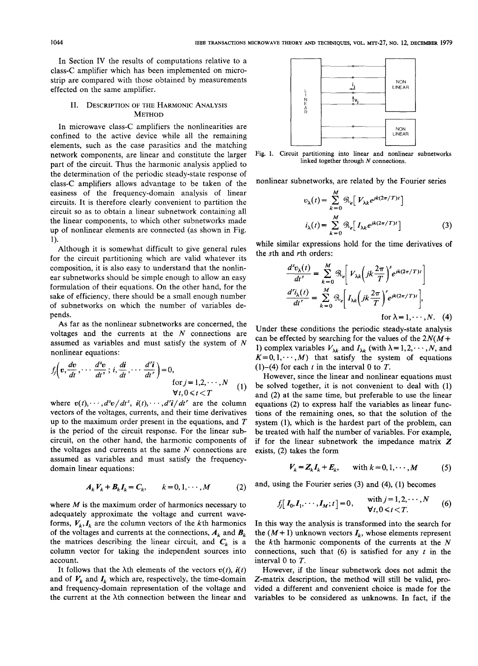In Section IV the results of computations relative to a class-C amplifier which has been implemented on microstrip are compared with those obtained by measurements effected on the same amplifier.

### II. DESCRIPTION OF THE HARMONIC ANALYSIS **METHOD**

In microwave class-C amplifiers the nonlinearities are confined to the active device while all the remaining elements, such as the case parasitics and the matching network components, are linear and constitute the larger part of the circuit. Thus the harmonic analysis applied to the determination of the periodic steady-state response of class-C amplifiers allows advantage to be taken of the easiness of the frequency-domain analysis of linear circuits. It is therefore clearly convenient to partition the circuit so as to obtain a linear subnetwork containing all the linear components, to which other subnetworks made up of nonlinear elements are connected (as shown in Fig. 1).

Although it is somewhat difficult to give general rules for the circuit partitioning which are valid whatever its composition, it is also easy to understand that the nonlinear subnetworks should be simple enough to allow an easy formulation of their equations. On the other hand, for the sake of efficiency, there should be a small enough number of subnetworks on which the number of variables depends.

As far as the nonlinear subnetworks are concerned, the voltages and the currents at the  $N$  connections are assumed as variables and must satisfy the system of N nonlinear equations:

$$
f_j\left(v, \frac{dv}{dt}, \dots \frac{d^s v}{dt^s}; i, \frac{di}{dt}, \dots \frac{d^r i}{dt^r}\right) = 0,
$$
  
for  $j = 1, 2, \dots, N$   
 $\forall t, 0 \le t < T$  (1)

where  $v(t), \dots, d^s v/dt^s, i(t), \dots, d^r i/dt^r$  are the column vectors of the voltages, currents, and their time derivatives up to the maximum order present in the equations, and  $T$ is the period of the circuit response. For the linear subcircuit, on the other hand, the harmonic components of the voltages and currents at the same  $N$  connections are assumed as variables and must satisfy the frequencydomain linear equations:

$$
A_k V_k + B_k I_k = C_k, \qquad k = 0, 1, \cdots, M \tag{2}
$$

where  $M$  is the maximum order of harmonics necessary to adequately approximate the voltage and current waveforms,  $V_k, I_k$  are the column vectors of the kth harmonics of the voltages and currents at the connections,  $A_k$  and  $B_k$ the matrices describing the linear circuit, and  $C_k$  is a column vector for taking the independent sources into account.

It follows that the  $\lambda$ th elements of the vectors  $v(t)$ ,  $\dot{v}(t)$ and of  $V_k$  and  $I_k$  which are, respectively, the time-domain and frequency-domain representation of the voltage and the current at the Ath connection between the linear and



linked together through N connections.

nonlinear subnetworks, are related by the Fourier series

$$
v_{\lambda}(t) = \sum_{k=0}^{M} \mathcal{R}_{e} \left[ V_{\lambda k} e^{j k (2\pi/T)t} \right]
$$

$$
i_{\lambda}(t) = \sum_{k=0}^{M} \mathcal{R}_{e} \left[ I_{\lambda k} e^{j k (2\pi/T)t} \right]
$$
(3)

while similar expressions hold for the time derivatives of the sth and rth orders:

$$
\frac{d^s v_{\lambda}(t)}{dt^s} = \sum_{k=0}^{M} \mathcal{R}_e \left[ V_{\lambda k} \left( jk \frac{2\pi}{T} \right)^s e^{jk(2\pi/T)t} \right]
$$

$$
\frac{d^r i_{\lambda}(t)}{dt^r} = \sum_{k=0}^{M} \mathcal{R}_e \left[ I_{\lambda k} \left( jk \frac{2\pi}{T} \right)^r e^{jk(2\pi/T)t} \right],
$$
for  $\lambda = 1, \dots, N$ . (4)

Under these conditions the periodic steady-state analysis can be effected by searching for the values of the  $2N(M+)$ 1) complex variables  $V_{\lambda k}$  and  $I_{\lambda k}$  (with  $\lambda = 1, 2, \dots, N$ , and  $K=0,1, \dots, M$  that satisfy the system of equations (1)–(4) for each t in the interval 0 to  $T$ .

However, since the linear and nonlinear equations must be solved together, it is not convenient to deal with (1) and (2) at the same time, but preferable to use the linear equations (2) to express half the variables as linear functions of the remaining ones, so that the solution of the system (l), which is the hardest part of the problem, can be treated with half the number of variables. For example, if for the linear subnetwork the impedance matrix  $Z$ exists, (2) takes the form

$$
V_k = Z_k I_k + E_k, \quad \text{with } k = 0, 1, \cdots, M \tag{5}
$$

and, using the Fourier series (3) and (4), (1) becomes

$$
f_j[I_0, I_1, \cdots, I_M; t] = 0,
$$
 with  $j = 1, 2, \cdots, N$  (6)  
 $\forall t, 0 \le t < T.$ 

In this way the analysis is transformed into the search for the  $(M + 1)$  unknown vectors  $I_k$ , whose elements represent the  $k$ th harmonic components of the currents at the  $N$ connections, such that  $(6)$  is satisfied for any t in the interval O to T.

However, if the linear subnetwork does not admit the Z-matrix description, the method will still be valid, provided a different and convenient choice is made for the variables to be considered as unknowns. In fact, if the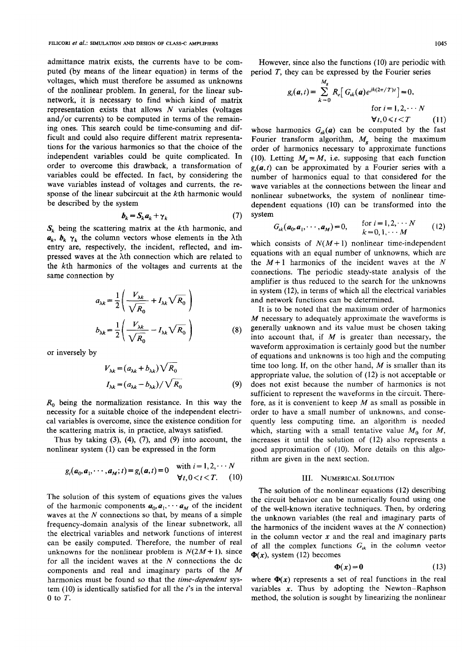admittance matrix exists, the currents have to be computed (by means of the linear equation) in terms of the voltages, which must therefore be assumed as unknowns of the nonlinear problem. In general, for the linear subnetwork, it is necessary to find which kind of matrix representation exists that allows  $N$  variables (voltages and/or currents) to be computed in terms of the remaining ones. This search could be time-consuming and difficult and could also require different matrix representations for the various harmonics so that the choice of the independent variables could be quite complicated. In order to overcome this drawback, a transformation of variables could be effected. In fact, by considering the wave variables instead of voltages and currents, the response of the linear subcircuit at the kth harmonic would be described by the system

$$
b_k = S_k a_k + \gamma_k \tag{7}
$$

 $S_k$  being the scattering matrix at the kth harmonic, and  $a_k$ ,  $b_k$   $\gamma_k$  the column vectors whose elements in the  $\lambda$ th entry are, respectively, the incident, reflected, and impressed waves at the Nh connection which are related to the kth harmonics of the voltages and currents at the same connection by

$$
a_{\lambda k} = \frac{1}{2} \left( \frac{V_{\lambda k}}{\sqrt{R_0}} + I_{\lambda k} \sqrt{R_0} \right)
$$
  

$$
b_{\lambda k} = \frac{1}{2} \left( \frac{V_{\lambda k}}{\sqrt{R_0}} - I_{\lambda k} \sqrt{R_0} \right)
$$
 (8)

or inversely by

$$
V_{\lambda k} = (a_{\lambda k} + b_{\lambda k}) \sqrt{R_0}
$$
  

$$
I_{\lambda k} = (a_{\lambda k} - b_{\lambda k}) / \sqrt{R_0}
$$
 (9)

 $R_0$  being the normalization resistance. In this way the necessity for a suitable choice of the independent electrical variables is overcome, since the existence condition for the scattering matrix is, in practice, always satisfied.

Thus by taking  $(3)$ ,  $(4)$ ,  $(7)$ , and  $(9)$  into account, the nonlinear system (1) can be expressed in the form

$$
g_i(a_0, a_1, \cdots, a_M; t) = g_i(a, t) = 0
$$
 with  $i = 1, 2, \cdots N$   
 $\forall t, 0 < t < T$ . (10)

The solution of this system of equations gives the values of the harmonic components  $a_0, a_1, \cdots, a_M$  of the incident waves at the  $N$  connections so that, by means of a simple frequency-domain analysis of the linear subnetwork, all the electrical variables and network functions of interest can be easily computed. Therefore, the number of real unknowns for the nonlinear problem is  $N(2M + 1)$ , since for all the incident waves at the  $N$  connections the dc components and real and imaginary parts of the M harmonics must be found so that the time-dependent system  $(10)$  is identically satisfied for all the  $t$ 's in the interval O to T.

However, since also the functions (10) are periodic with period  $T$ , they can be expressed by the Fourier series

$$
g_i(\mathbf{a},t) = \sum_{k=0}^{M_g} R_e \left[ G_{ik}(\mathbf{a}) e^{jk(2\pi/T)t} \right] = 0,
$$
  
for  $i = 1,2,\cdots N$   

$$
\forall t, 0 \le t < T \qquad (11)
$$

whose harmonics  $G_{ik}(a)$  can be computed by the fast Fourier transform algorithm,  $M_g$  being the maximum order of harmonics necessary to approximate functions (10). Letting  $M_{\rm g} = M$ , i.e. supposing that each function  $g_i(a, t)$  can be approximated by a Fourier series with a number of harmonics equal to that considered for the wave variables at the connections between the linear and nonlinear subnetworks, the system of nonlinear tirnedependent equations (10) can be transformed into the system

$$
G_{ik}(a_0, a_1, \cdots, a_M) = 0, \quad \text{for } i = 1, 2, \cdots N k = 0, 1, \cdots M
$$
 (12)

which consists of  $N(M+1)$  nonlinear time-independent equations with an equal number of unknowns, which are the  $M+1$  harmonics of the incident waves at the N connections, The periodic steady-state analysis of the amplifier is thus reduced to the search for the unknowns in system (12), in terms of which all the electrical variables and network functions can be determined.

It is to be noted that the maximum order of harmonics M necessary to adequately approximate the waveforms is generally unknown and its value must be chosen taking into account that, if  $M$  is greater than necessary, the waveform approximation is certainly good but the number of equations and unknowns is too high and the computing time too long. If, on the other hand,  $M$  is smaller than its appropriate value, the solution of (12) is not acceptable or does not exist because the number of harmonics is not sufficient to represent the waveforms in the circuit. Therefore, as it is convenient to keep  $M$  as small as possible in order to have a small number of unknowm, and consequently less computing time. an algorithm is needed which, starting with a small tentative value  $M_0$  for M, increases it until the solution of (12) also represents a good approximation of (10). More details on this algorithm are given in the next section.

### III. NUMERICAL SOLUTION

The solution of the nonlinear equations (12) describing the circuit behavior can be numerically found using one of the well-known iterative techniques. Then, by ordering the unknown variables (the real and imaginary parts of the harmonics of the incident waves at the  $N$  connection) in the column vector  $x$  and the real and imaginary parts of all the complex functions  $G_{ik}$  in the column vector  $\Phi(x)$ , system (12) becomes

$$
\Phi(x) = 0 \tag{13}
$$

where  $\Phi(x)$  represents a set of real functions in the real variables  $x$ . Thus by adopting the Newton–Raphson method, the solution is sought by linearizing the nonlinear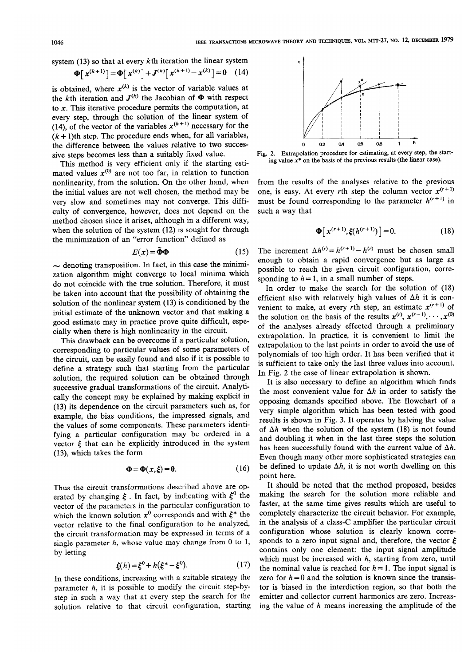system (13) so that at every kth iteration the linear system

$$
\Phi[x^{(k+1)}] = \Phi[x^{(k)}] + J^{(k)}[x^{(k+1)} - x^{(k)}] = 0 \quad (14)
$$

is obtained, where  $x^{(k)}$  is the vector of variable values at the kth iteration and  $J^{(k)}$  the Jacobian of  $\Phi$  with respect to  $x$ . This iterative procedure permits the computation, at every step, through the solution of the linear system of (14), of the vector of the variables  $x^{(k+1)}$  necessary for the  $(k + 1)$ th step. The procedure ends when, for all variables, the difference between the values relative to two successive steps becomes less than a suitably fixed value.

This method is very efficient only if the starting estimated values  $x^{(0)}$  are not too far, in relation to function nonlinearity, from the solution. On the other hand, when the initial values are not well chosen, the method may be very slow and sometimes may not converge. This difficulty of convergence, however, does not depend on the method chosen since it arises, although in a different way, when the solution of the system  $(12)$  is sought for through the minimization of an "error function" defined as

$$
E(x) = \tilde{\Phi}\Phi
$$
 (15)

 $\sim$  denoting transposition. In fact, in this case the minimization algorithm might converge to local minima which do not coincide with the true solution. Therefore, it must be taken into account that the possibility of obtaining the solution of the nonlinear system (13) is conditioned by the initial estimate of the unknown vector and that making a good estimate may in practice prove quite difficult, especially when there is high nonlinearity in the circuit.

This drawback can be overcome if a particular solution, corresponding to particular values of some parameters of the circuit, can be easily found and also if it is possible to define a strategy such that starting from the particular solution, the required solution can be obtained through successive gradual transformations of the circuit. Analytically the concept may be explained by making explicit in (13) its dependence on the circuit parameters such as, for example, the bias conditions, the impressed signals, and the values of some components. These parameters identifying a particular configuration may be ordered in a vector  $\xi$  that can be explicitly introduced in the system (13), which takes the form

$$
\Phi = \Phi(x,\xi) = 0. \tag{16}
$$

Thus the circuit transformations described above are operated by changing  $\zeta$ . In fact, by indicating with  $\xi^0$  the vector of the parameters in the particular configuration to which the known solution  $x^0$  corresponds and with  $\xi^*$  the vector relative to the final configuration to be analyzed, the circuit transformation may be expressed in terms of a single parameter  $h$ , whose value may change from 0 to 1, by letting

$$
\xi(h) = \xi^0 + h(\xi^* - \xi^0). \tag{17}
$$

In these conditions, increasing with a suitable strategy the parameter h, it is possible to modify the circuit step-bystep in such a way that at every step the search for the solution relative to that circuit configuration, starting



Fig. 2. Extrapolation procedure for estimating, at every step, the starting value  $x^*$  on the basis of the previous results (the linear case).

from the results of the analyses relative to the previous one, is easy. At every rth step the column vector  $x^{(r+1)}$ must be found corresponding to the parameter  $h^{(r+1)}$  in such a way that

$$
\Phi[x^{(r+1)}, \xi(h^{(r+1)})] = 0. \tag{18}
$$

The increment  $\Delta h^{(r)} = h^{(r+1)} - h^{(r)}$  must be chosen small enough to obtain a rapid convergence but as large as possible to reach the given circuit configuration, corresponding to  $h = 1$ , in a small number of steps.

In order to make the search for the solution of (18) efficient also with relatively high values of  $\Delta h$  it is convenient to make, at every rth step, an estimate  $x^{(r+1)}$  of the solution on the basis of the results  $x^{(r)}$ ,  $x^{(r-1)}$ ,...,  $x^{(0)}$ of the analyses already effected through a preliminary extrapolation. In practice, it is convenient to limit the extrapolation to the last points in order to avoid the use of polynomials of too high order. It has been verified that it is sufficient to take only the last three values into account. In Fig, 2 the case of linear extrapolation is shown.

It is also necessary to define an algorithm which finds the most convenient value for  $\Delta h$  in order to satisfy the opposing demands specified above. The flowchart of a very simple algorithm which has been tested with good results is shown in Fig. 3. It operates by halving the value of  $\Delta h$  when the solution of the system (18) is not found and doubling it when in the last three steps the solution has been successfully found with the current value of  $\Delta h$ . Even though many other more sophisticated strategies can be defined to update  $\Delta h$ , it is not worth dwelling on this point here.

It should be noted that the method proposed, besides making the search for the solution more reliable and faster, at the same time gives results which are useful to completely characterize the circuit behavior. For example, in the analysis of a class-C amplifier the particular circuit configuration whose solution is clearly known corresponds to a zero input signal and, therefore, the vector  $\xi$ contains only one element: the input signal amplitude which must be increased with  $h$ , starting from zero, until the nominal value is reached for  $h = 1$ . The input signal is zero for  $h = 0$  and the solution is known since the transistor is biased in the interdiction region, so that both the emitter and collector current harmonics are zero. Increasing the value of  $h$  means increasing the amplitude of the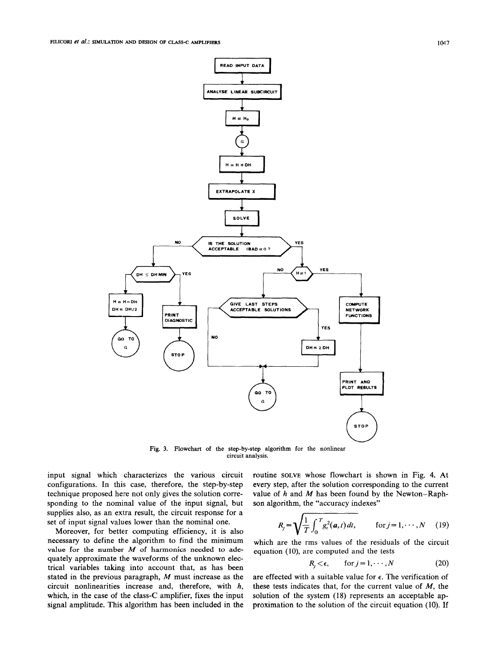

Fig. 3. Flowchart of the step-by-step algorithm for the nonlinear circuit analysis.

input signal which characterizes the various circuit configurations. In this case, therefore, the step-by-step technique proposed here not only gives the solution corresponding to the nominal value of the input signal, but supplies also, as an extra result, the circuit response for a set of input signal values lower than the nominal one.

Moreover, for better computing efficiency, it is also necessary to define the algorithm to find the minimum value for the number  $M$  of harmonics needed to adequately approximate the waveforms of the unknown electrical variables taking into account that, as has been stated in the previous paragraph, M must increase as the circuit nonlinearities increase and, therefore, with h, which, in the case of the class-C amplifier, fixes the input signal amplitude. This algorithm has been included in the

routine SOLVE whose flowchart is shown in Fig. 4. At every step, after the solution corresponding to the current value of  $h$  and  $M$  has been found by the Newton–Raphson algorithm, the "accuracy indexes"

$$
R_j = \sqrt{\frac{1}{T} \int_0^T g_t^2(a, t) dt}, \quad \text{for } j = 1, \cdots, N \quad (19)
$$

which are the rms values of the residuals of the circuit equation (10), are computed and the tests

$$
R_i < \epsilon, \qquad \text{for } j = 1, \cdots, N \tag{20}
$$

are effected with a suitable value for  $\epsilon$ . The verification of these tests indicates that, for the current value of  $M$ , the solution of the system (18) represents an acceptable approximation to the solution of the circuit equation (10). If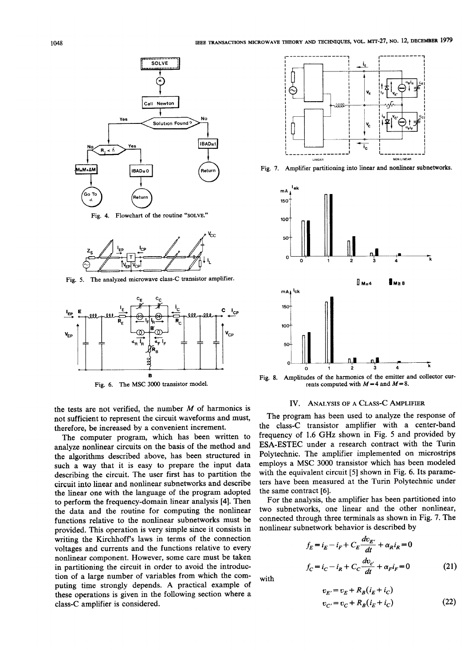

Fig. 4. Flowchart of the routine "SOLVE."



Fig. 5. The analyzed microwave class-C transistor amplifier.



Fig. 6. The MSC 3000 transistor model

the tests are not verified, the number  $M$  of harmonics is not sufficient to represent the circuit waveforms and must, therefore, be increased by a convenient increment.

The computer program, which has been written to analyze nonlinear circuits on the basis of the method and the algorithms described above, has been structured in such a way that it is easy to prepare the input data describing the circuit. The user first has to partition the circuit into linear and nonlinear subnetworks and describe the linear one with the language of the program adopted to perform the frequency-domain linear analysis [4]. Then the data and the routine for computing the nonlinear functions relative to the nonlinear subnetworks must be provided. This operation is very simple since it consists in writing the Kirchhoff's laws in terms of the connection voltages and currents and the functions relative to every nonlinear component. However, some care must be taken in partitioning the circuit in order to avoid the introduction of a large number of variables from which the computing time strongly depends. A practical example of these operations is given in the following section where a class-C amplifier is considered.



Fig. 7. Amplifier partitioning into linear and nonlinear subnetworks.



Fig. 8. Amplitudes of the harmonics of the emitter and cottector currents computed with  $M=4$  and  $M=8$ .

### IV. ANALYSIS OF A CLASS-C AMPLIFIER

The program has been used to analyze the response of the class-C transistor amplifier with a center-band frequency of 1.6 GHz shown in Fig. 5 and provided by ESA-ESTEC under a research contract with the Turin Polytechnic. The amplifier implemented on microstrips employs a MSC 3000 transistor which has been modeled with the equivalent circuit [5] shown in Fig. 6. Its parameters have been measured at the Turin Polytechnic under the same contract [6].

For the analysis, the amplifier has been partitioned into two subnetworks, one linear and the other nonlinear, connected through three terminals as shown in Fig. 7. The nonlinear subnetwork behavior is described by

$$
f_E = i_E - i_F + C_E \frac{dv_{E'}}{dt} + \alpha_R i_R = 0
$$
  

$$
f_C = i_C - i_R + C_C \frac{dv_{c'}}{dt} + \alpha_F i_F = 0
$$
 (21)

with

$$
v_{E'} = v_E + R_B(i_E + i_C)
$$
  
\n
$$
v_{C'} = v_C + R_B(i_E + i_C)
$$
 (22)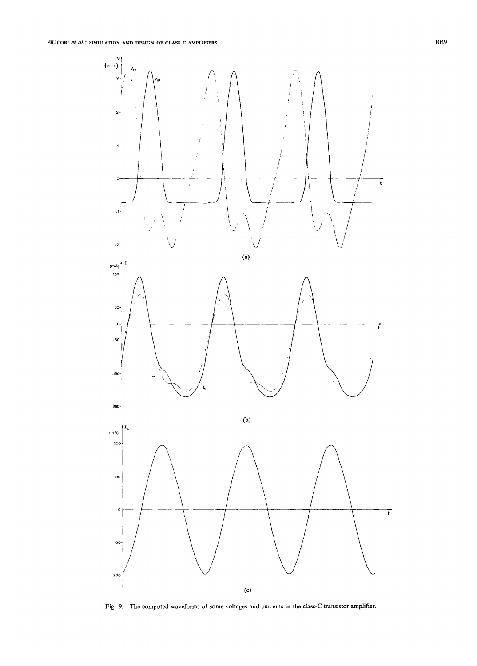

Fig. 9. The computed waveforms of some voltages and currents in the class-C transistor amplifier.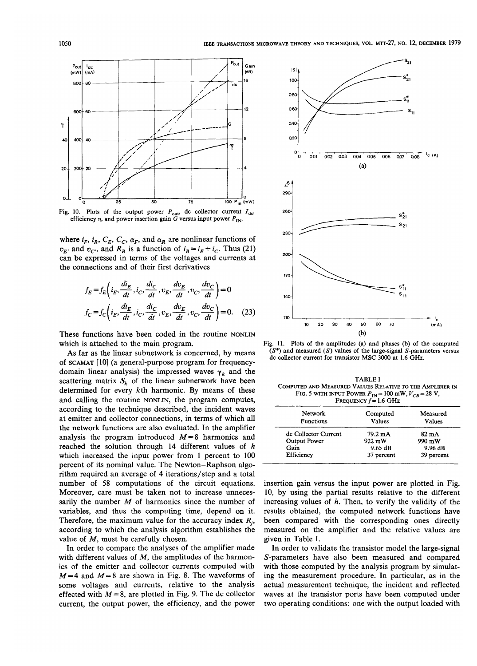

Fig. 10. Plots of the output power  $P_{\text{out}}$  dc collector current  $I_{\text{dc}}$ efficiency  $\eta$ , and power insertion gain G versus input power  $P_{IN}$ .

where  $i_F$ ,  $i_R$ ,  $C_E$ ,  $C_C$ ,  $\alpha_F$ , and  $\alpha_R$  are nonlinear functions of  $v_{E'}$  and  $v_{C'}$ , and  $R_B$  is a function of  $i_B = i_E + i_C$ . Thus (21) can be expressed in terms of the voltages and currents at the connections and of their first derivatives

$$
f_E = f_E \left( i_E, \frac{di_E}{dt}, i_C, \frac{di_C}{dt}, v_E, \frac{dv_E}{dt}, v_C, \frac{dv_C}{dt} \right) = 0
$$
  

$$
f_C = f_C \left( i_E, \frac{di_E}{dt}, i_C, \frac{di_C}{dt}, v_E, \frac{dv_E}{dt}, v_C, \frac{dv_C}{dt} \right) = 0.
$$
 (23)

These functions have been coded in the routine NONLIN which is attached to the main program.

As far as the linear subnetwork is concerned, by means of SCAMAT [10] (a general-purpose program for frequencydomain linear analysis) the impressed waves  $\gamma_k$  and the scattering matrix  $S_k$  of the linear subnetwork have been determined for every kth harmonic. By means of these and calling the routine NONLIN, the program computes, according to the technique described, the incident waves at emitter and collector connections, in terms of which all the network functions are also evaluated. In the amplifier analysis the program introduced  $M=8$  harmonics and reached the solution through 14 different values of  $h$ which increased the input power from 1 percent to 100 percent of its nominal value. The Newton-Raphson algorithm required an average of 4 iterations/step and a total number of 58 computations of the circuit equations. Moreover, care must be taken not to increase unnecessarily the number  $M$  of harmonics since the number of variables, and thus the computing time, depend on it. Therefore, the maximum value for the accuracy index  $R_i$ , according to which the analysis algorithm establishes the value of  $M$ , must be carefully chosen.

In order to compare the analyses of the amplifier made with different values of  $M$ , the amplitudes of the harmonics of the emitter and collector currents computed with  $M=4$  and  $M=8$  are shown in Fig. 8. The waveforms of some voltages and currents, relative to the analysis effected with  $M = 8$ , are plotted in Fig. 9. The dc collector current, the output power, the efficiency, and the power



Fig. 11. Plots of the amplitudes (a) and phases (b) of the computed  $(S^*)$  and measured  $(S)$  values of the large-signal S-parameters versus de collector current for transistor MSC 3000 at 1.6 GHz.

**TABLE I** COMPUTED AND MEASURED VALUES RELATIVE TO THE AMPLIFIER IN FIG. 5 WITH INPUT POWER  $P_{IN} = 100$  mW,  $V_{CB} = 28$  V, **EXEQUENCY**  $f = 16$  **GHz** 

| Network<br><b>Functions</b> | Computed<br>Values | Measured<br>Values |
|-----------------------------|--------------------|--------------------|
| de Collector Current        | 79.2 mA            | $82 \text{ mA}$    |
| Output Power                | $922 \text{ mW}$   | 990 mW             |
| Gain                        | $9.65$ dB          | 9.96 dB            |
| Efficiency                  | 37 percent         | 39 percent         |

insertion gain versus the input power are plotted in Fig. 10, by using the partial results relative to the different increasing values of  $h$ . Then, to verify the validity of the results obtained, the computed network functions have been compared with the corresponding ones directly measured on the amplifier and the relative values are given in Table I.

In order to validate the transistor model the large-signal S-parameters have also been measured and compared with those computed by the analysis program by simulating the measurement procedure. In particular, as in the actual measurement technique, the incident and reflected waves at the transistor ports have been computed under two operating conditions: one with the output loaded with